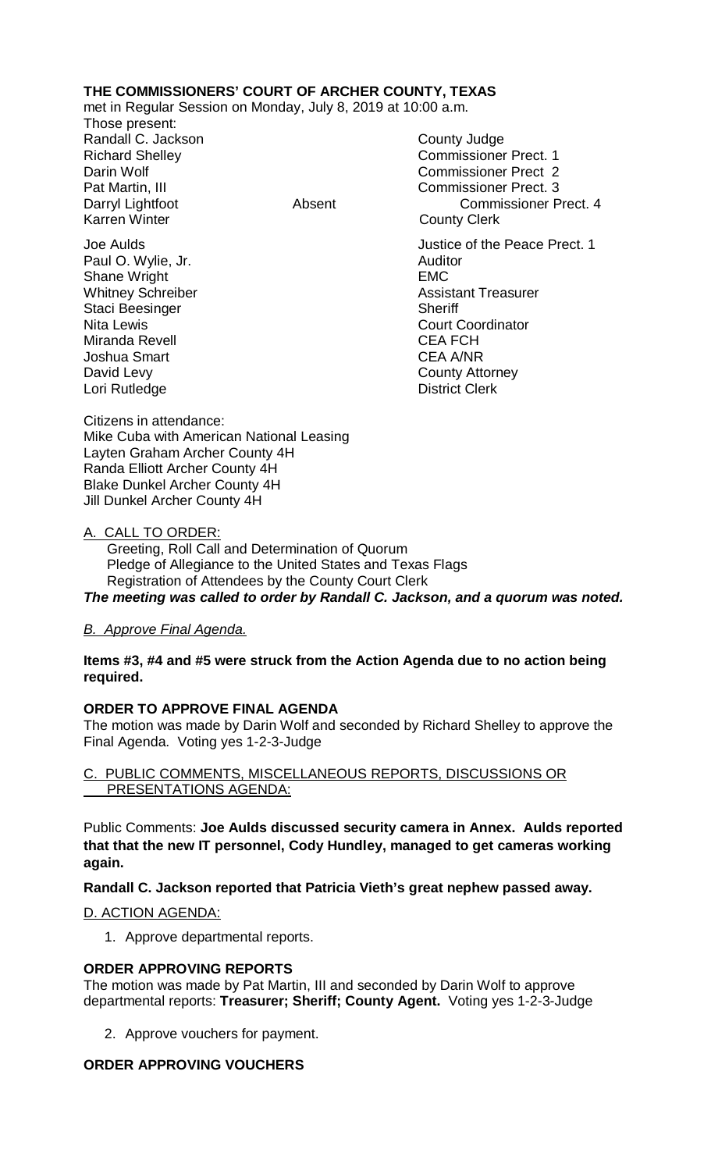## **THE COMMISSIONERS' COURT OF ARCHER COUNTY, TEXAS**

met in Regular Session on Monday, July 8, 2019 at 10:00 a.m.

Those present: Randall C. Jackson County Judge Karren Winter **County Clerk** 

Paul O. Wylie, Jr. **Auditor Paul O. Wylie, Jr. Auditor** Shane Wright **EMC** Staci Beesinger Nita Lewis Court Coordinator Miranda Revell **CEA FCH** Joshua Smart CEA A/NR David Levy **County Attorney** Lori Rutledge **District Clerk** 

Richard Shelley **Commissioner Prect. 1** Darin Wolf Commissioner Prect 2 Pat Martin, III Commissioner Prect. 3 Darryl Lightfoot **Absent** Absent Commissioner Prect. 4

Joe Aulds Justice of the Peace Prect. 1 Whitney Schreiber **Assistant Treasurer**<br>
Staci Beesinger National Staci Beesinger

Citizens in attendance: Mike Cuba with American National Leasing Layten Graham Archer County 4H Randa Elliott Archer County 4H Blake Dunkel Archer County 4H Jill Dunkel Archer County 4H

## A. CALL TO ORDER:

 Greeting, Roll Call and Determination of Quorum Pledge of Allegiance to the United States and Texas Flags Registration of Attendees by the County Court Clerk *The meeting was called to order by Randall C. Jackson, and a quorum was noted.*

## *B. Approve Final Agenda.*

**Items #3, #4 and #5 were struck from the Action Agenda due to no action being required.**

## **ORDER TO APPROVE FINAL AGENDA**

The motion was made by Darin Wolf and seconded by Richard Shelley to approve the Final Agenda. Voting yes 1-2-3-Judge

C. PUBLIC COMMENTS, MISCELLANEOUS REPORTS, DISCUSSIONS OR PRESENTATIONS AGENDA:

Public Comments: **Joe Aulds discussed security camera in Annex. Aulds reported that that the new IT personnel, Cody Hundley, managed to get cameras working again.**

**Randall C. Jackson reported that Patricia Vieth's great nephew passed away.**

#### D. ACTION AGENDA:

1. Approve departmental reports.

## **ORDER APPROVING REPORTS**

The motion was made by Pat Martin, III and seconded by Darin Wolf to approve departmental reports: **Treasurer; Sheriff; County Agent.** Voting yes 1-2-3-Judge

2. Approve vouchers for payment.

# **ORDER APPROVING VOUCHERS**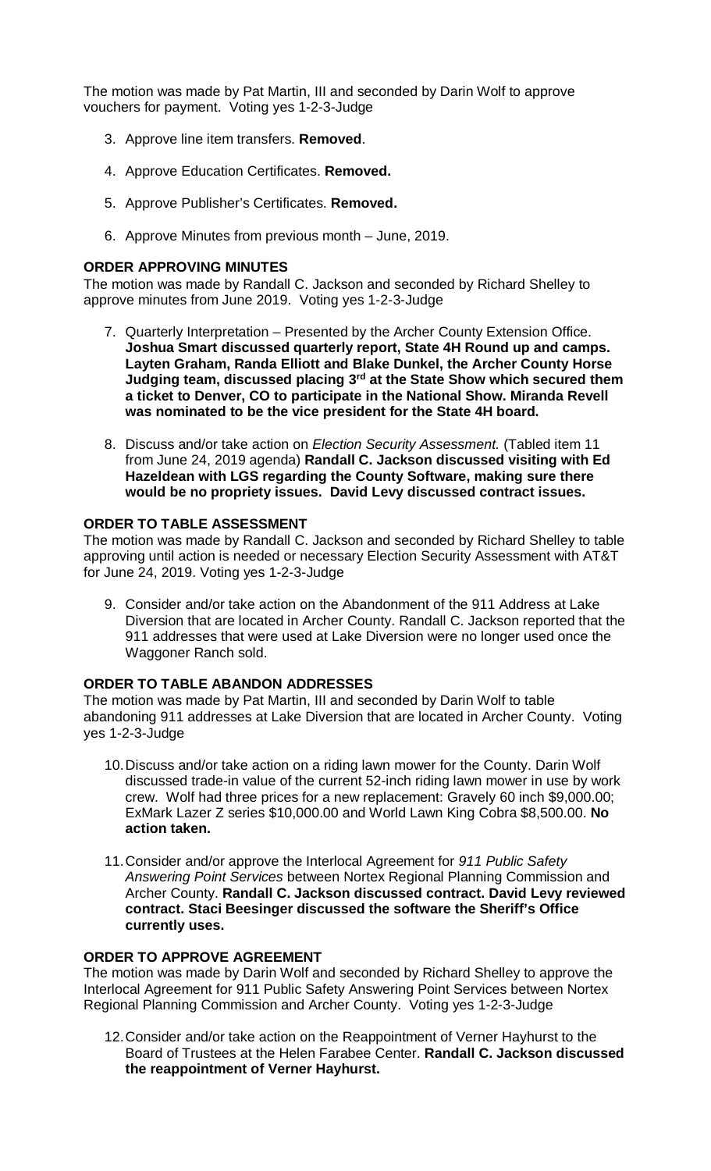The motion was made by Pat Martin, III and seconded by Darin Wolf to approve vouchers for payment. Voting yes 1-2-3-Judge

- 3. Approve line item transfers. **Removed**.
- 4. Approve Education Certificates. **Removed.**
- 5. Approve Publisher's Certificates. **Removed.**
- 6. Approve Minutes from previous month June, 2019.

#### **ORDER APPROVING MINUTES**

The motion was made by Randall C. Jackson and seconded by Richard Shelley to approve minutes from June 2019. Voting yes 1-2-3-Judge

- 7. Quarterly Interpretation Presented by the Archer County Extension Office. **Joshua Smart discussed quarterly report, State 4H Round up and camps. Layten Graham, Randa Elliott and Blake Dunkel, the Archer County Horse Judging team, discussed placing 3rd at the State Show which secured them a ticket to Denver, CO to participate in the National Show. Miranda Revell was nominated to be the vice president for the State 4H board.**
- 8. Discuss and/or take action on *Election Security Assessment.* (Tabled item 11 from June 24, 2019 agenda) **Randall C. Jackson discussed visiting with Ed Hazeldean with LGS regarding the County Software, making sure there would be no propriety issues. David Levy discussed contract issues.**

#### **ORDER TO TABLE ASSESSMENT**

The motion was made by Randall C. Jackson and seconded by Richard Shelley to table approving until action is needed or necessary Election Security Assessment with AT&T for June 24, 2019. Voting yes 1-2-3-Judge

9. Consider and/or take action on the Abandonment of the 911 Address at Lake Diversion that are located in Archer County. Randall C. Jackson reported that the 911 addresses that were used at Lake Diversion were no longer used once the Waggoner Ranch sold.

#### **ORDER TO TABLE ABANDON ADDRESSES**

The motion was made by Pat Martin, III and seconded by Darin Wolf to table abandoning 911 addresses at Lake Diversion that are located in Archer County. Voting yes 1-2-3-Judge

- 10.Discuss and/or take action on a riding lawn mower for the County. Darin Wolf discussed trade-in value of the current 52-inch riding lawn mower in use by work crew. Wolf had three prices for a new replacement: Gravely 60 inch \$9,000.00; ExMark Lazer Z series \$10,000.00 and World Lawn King Cobra \$8,500.00. **No action taken.**
- 11.Consider and/or approve the Interlocal Agreement for *911 Public Safety Answering Point Services* between Nortex Regional Planning Commission and Archer County. **Randall C. Jackson discussed contract. David Levy reviewed contract. Staci Beesinger discussed the software the Sheriff's Office currently uses.**

## **ORDER TO APPROVE AGREEMENT**

The motion was made by Darin Wolf and seconded by Richard Shelley to approve the Interlocal Agreement for 911 Public Safety Answering Point Services between Nortex Regional Planning Commission and Archer County. Voting yes 1-2-3-Judge

12.Consider and/or take action on the Reappointment of Verner Hayhurst to the Board of Trustees at the Helen Farabee Center. **Randall C. Jackson discussed the reappointment of Verner Hayhurst.**